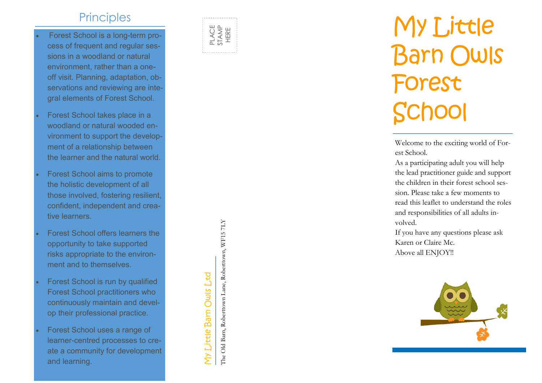## **Principles**

- Forest School is a long-term process of frequent and regular sessions in a woodland or natural environment, rather than a one off visit. Planning, adaptation, observations and reviewing are integral elements of Forest School.
- Forest School takes place in a woodland or natural wooded environment to support the development of a relationship between the learner and the natural world.
- Forest School aims to promote the holistic development of all those involved, fostering resilient, confident, independent and creative learners.
- Forest School offers learners the opportunity to take supported risks appropriate to the environment and to themselves.
- Forest School is run by qualified Forest School practitioners who continuously maintain and develop their professional practice.
- Forest School uses a range of learner -centred processes to create a community for development and learning.



# My Little Barn Owls Forest School

Welcome to the exciting world of Forest School.

As a participating adult you will help the lead practitioner guide and support the children in their forest school session. Please take a few moments to read this leaflet to understand the roles and responsibilities of all adults involved.

If you have any questions please ask Karen or Claire Mc. Above all ENJOY!!